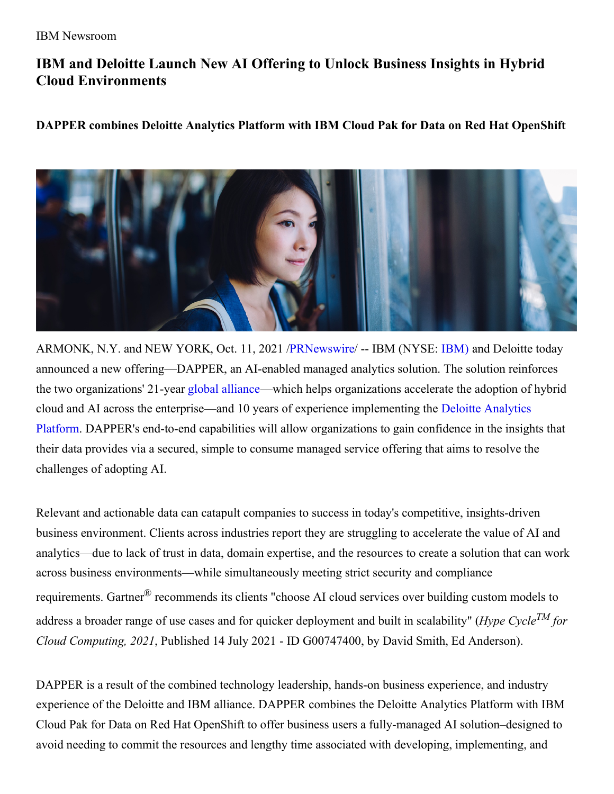# **IBM and Deloitte Launch New AI Offering to Unlock Business Insights in Hybrid Cloud Environments**

## **DAPPER combines Deloitte Analytics Platform with IBM Cloud Pak for Data on Red Hat OpenShift**



ARMONK, N.Y. and NEW YORK, Oct. 11, 2021 [/PRNewswire](http://www.prnewswire.com/)/ -- IBM (NYSE: [IBM\)](https://c212.net/c/link/?t=0&l=en&o=3317905-1&h=583375628&u=https%3A%2F%2Fwww.ibm.com%2Finvestor&a=IBM)) and Deloitte today announced a new offering—DAPPER, an AI-enabled managed analytics solution. The solution reinforces the two organizations' 21-year global [alliance](https://c212.net/c/link/?t=0&l=en&o=3317905-1&h=1808587487&u=http%3A%2F%2Fwww.deloitte.com%2Fus%2Fibm&a=global+alliance)—which helps organizations accelerate the adoption of hybrid cloud and AI across the [enterprise—and](https://c212.net/c/link/?t=0&l=en&o=3317905-1&h=1381440590&u=https%3A%2F%2Fwww2.deloitte.com%2Fbe%2Fen%2Fpages%2Fstrategy-operations%2Fstrategy-analytics-mergers-acquisitions%2Fsolutions%2Fdeloitte-analyticsplatform.html&a=Deloitte+Analytics+Platform) 10 years of experience implementing the Deloitte Analytics Platform. DAPPER's end-to-end capabilities will allow organizations to gain confidence in the insights that their data provides via a secured, simple to consume managed service offering that aims to resolve the challenges of adopting AI.

Relevant and actionable data can catapult companies to success in today's competitive, insights-driven business environment. Clients across industries report they are struggling to accelerate the value of AI and analytics—due to lack of trust in data, domain expertise, and the resources to create a solution that can work across business environments—while simultaneously meeting strict security and compliance requirements. Gartner® recommends its clients "choose AI cloud services over building custom models to address a broader range of use cases and for quicker deployment and built in scalability" (*Hype Cycle TM for Cloud Computing, 2021*, Published 14 July 2021 - ID G00747400, by David Smith, Ed Anderson).

DAPPER is a result of the combined technology leadership, hands-on business experience, and industry experience of the Deloitte and IBM alliance. DAPPER combines the Deloitte Analytics Platform with IBM Cloud Pak for Data on Red Hat OpenShift to offer business users a fully-managed AI solution–designed to avoid needing to commit the resources and lengthy time associated with developing, implementing, and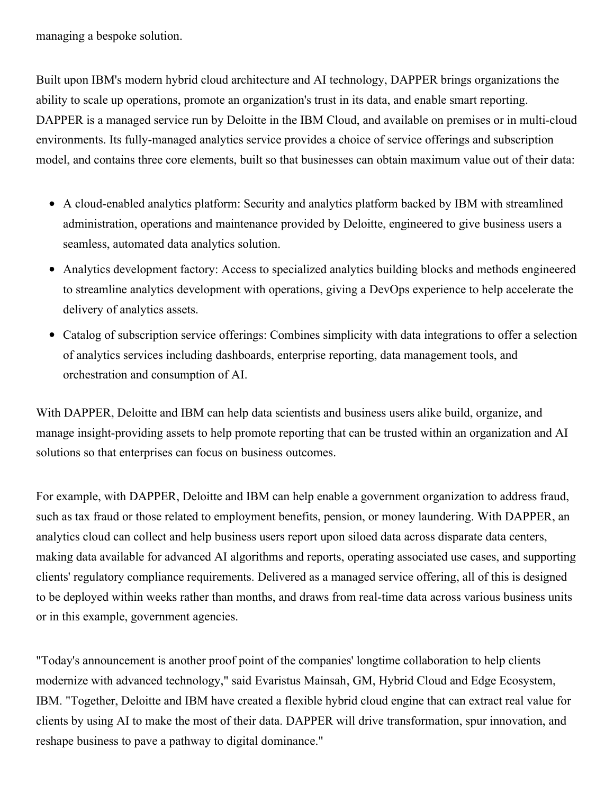managing a bespoke solution.

Built upon IBM's modern hybrid cloud architecture and AI technology, DAPPER brings organizations the ability to scale up operations, promote an organization's trust in its data, and enable smart reporting. DAPPER is a managed service run by Deloitte in the IBM Cloud, and available on premises or in multi-cloud environments. Its fully-managed analytics service provides a choice of service offerings and subscription model, and contains three core elements, built so that businesses can obtain maximum value out of their data:

- A cloud-enabled analytics platform: Security and analytics platform backed by IBM with streamlined administration, operations and maintenance provided by Deloitte, engineered to give business users a seamless, automated data analytics solution.
- Analytics development factory: Access to specialized analytics building blocks and methods engineered to streamline analytics development with operations, giving a DevOps experience to help accelerate the delivery of analytics assets.
- Catalog of subscription service offerings: Combines simplicity with data integrations to offer a selection of analytics services including dashboards, enterprise reporting, data management tools, and orchestration and consumption of AI.

With DAPPER, Deloitte and IBM can help data scientists and business users alike build, organize, and manage insight-providing assets to help promote reporting that can be trusted within an organization and AI solutions so that enterprises can focus on business outcomes.

For example, with DAPPER, Deloitte and IBM can help enable a government organization to address fraud, such as tax fraud or those related to employment benefits, pension, or money laundering. With DAPPER, an analytics cloud can collect and help business users report upon siloed data across disparate data centers, making data available for advanced AI algorithms and reports, operating associated use cases, and supporting clients' regulatory compliance requirements. Delivered as a managed service offering, all of this is designed to be deployed within weeks rather than months, and draws from real-time data across various business units or in this example, government agencies.

"Today's announcement is another proof point of the companies' longtime collaboration to help clients modernize with advanced technology," said Evaristus Mainsah, GM, Hybrid Cloud and Edge Ecosystem, IBM. "Together, Deloitte and IBM have created a flexible hybrid cloud engine that can extract real value for clients by using AI to make the most of their data. DAPPER will drive transformation, spur innovation, and reshape business to pave a pathway to digital dominance."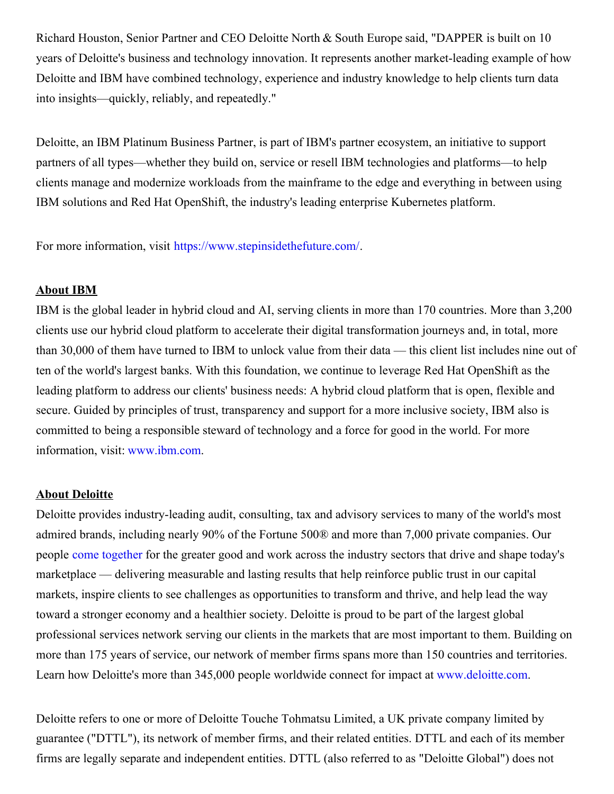Richard Houston, Senior Partner and CEO Deloitte North & South Europe said, "DAPPER is built on 10 years of Deloitte's business and technology innovation. It represents another market-leading example of how Deloitte and IBM have combined technology, experience and industry knowledge to help clients turn data into insights—quickly, reliably, and repeatedly."

Deloitte, an IBM Platinum Business Partner, is part of IBM's partner ecosystem, an initiative to support partners of all types—whether they build on, service or resell IBM technologies and platforms—to help clients manage and modernize workloads from the mainframe to the edge and everything in between using IBM solutions and Red Hat OpenShift, the industry's leading enterprise Kubernetes platform.

For more information, visit [https://www.stepinsidethefuture.com/](https://c212.net/c/link/?t=0&l=en&o=3317905-1&h=2980680463&u=https%3A%2F%2Fwww.stepinsidethefuture.com%2F&a=https%3A%2F%2Fwww.stepinsidethefuture.com%2F).

#### **About IBM**

IBM is the global leader in hybrid cloud and AI, serving clients in more than 170 countries. More than 3,200 clients use our hybrid cloud platform to accelerate their digital transformation journeys and, in total, more than 30,000 of them have turned to IBM to unlock value from their data — this client list includes nine out of ten of the world's largest banks. With this foundation, we continue to leverage Red Hat OpenShift as the leading platform to address our clients' business needs: A hybrid cloud platform that is open, flexible and secure. Guided by principles of trust, transparency and support for a more inclusive society, IBM also is committed to being a responsible steward of technology and a force for good in the world. For more information, visit: [www.ibm.com](https://c212.net/c/link/?t=0&l=en&o=3317905-1&h=3917501687&u=https%3A%2F%2Fwww.ibm.com%2F&a=www.ibm.com).

#### **About Deloitte**

Deloitte provides industry-leading audit, consulting, tax and advisory services to many of the world's most admired brands, including nearly 90% of the Fortune 500® and more than 7,000 private companies. Our people come [together](https://c212.net/c/link/?t=0&l=en&o=3317905-1&h=18492040&u=https%3A%2F%2Fwww2.deloitte.com%2Fus%2Fen%2Fpages%2Fabout-deloitte%2Farticles%2Fcome-together-corporate-social-impact.html%3Fid%3Dus%3A2el%3A3pr%3Acometog%3Aawa%3Agreendot%3A11112020%3Aboilerplate&a=come+together) for the greater good and work across the industry sectors that drive and shape today's marketplace — delivering measurable and lasting results that help reinforce public trust in our capital markets, inspire clients to see challenges as opportunities to transform and thrive, and help lead the way toward a stronger economy and a healthier society. Deloitte is proud to be part of the largest global professional services network serving our clients in the markets that are most important to them. Building on more than 175 years of service, our network of member firms spans more than 150 countries and territories. Learn how Deloitte's more than 345,000 people worldwide connect for impact at [www.deloitte.com](https://c212.net/c/link/?t=0&l=en&o=3317905-1&h=1616748891&u=http%3A%2F%2Fwww.deloitte.com%2F&a=www.deloitte.com).

Deloitte refers to one or more of Deloitte Touche Tohmatsu Limited, a UK private company limited by guarantee ("DTTL"), its network of member firms, and their related entities. DTTL and each of its member firms are legally separate and independent entities. DTTL (also referred to as "Deloitte Global") does not